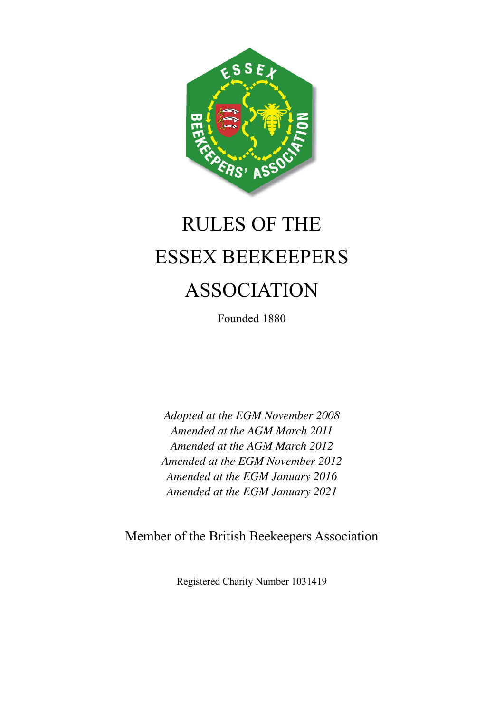

# RULES OF THE ESSEX BEEKEEPERS ASSOCIATION

Founded 1880

*Adopted at the EGM November 2008 Amended at the AGM March 2011 Amended at the AGM March 2012 Amended at the EGM November 2012 Amended at the EGM January 2016 Amended at the EGM January 2021*

Member of the British Beekeepers Association

Registered Charity Number 1031419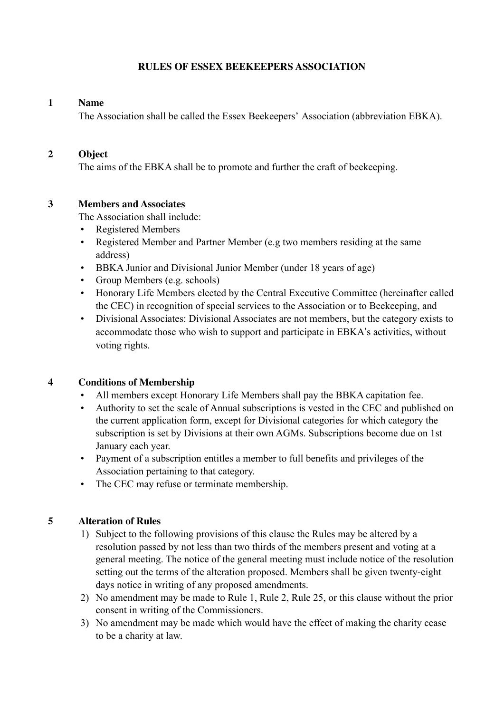#### **RULES OF ESSEX BEEKEEPERS ASSOCIATION**

#### **1 Name**

The Association shall be called the Essex Beekeepers' Association (abbreviation EBKA).

#### **2 Object**

The aims of the EBKA shall be to promote and further the craft of beekeeping.

# **3 Members and Associates**

The Association shall include:

- Registered Members
- Registered Member and Partner Member (e.g two members residing at the same address)
- BBKA Junior and Divisional Junior Member (under 18 years of age)
- Group Members (e.g. schools)
- Honorary Life Members elected by the Central Executive Committee (hereinafter called the CEC) in recognition of special services to the Association or to Beekeeping, and
- Divisional Associates: Divisional Associates are not members, but the category exists to accommodate those who wish to support and participate in EBKA's activities, without voting rights.

# **4 Conditions of Membership**

- All members except Honorary Life Members shall pay the BBKA capitation fee.
- Authority to set the scale of Annual subscriptions is vested in the CEC and published on the current application form, except for Divisional categories for which category the subscription is set by Divisions at their own AGMs. Subscriptions become due on 1st January each year.
- Payment of a subscription entitles a member to full benefits and privileges of the Association pertaining to that category.
- The CEC may refuse or terminate membership.

# **5 Alteration of Rules**

- 1) Subject to the following provisions of this clause the Rules may be altered by a resolution passed by not less than two thirds of the members present and voting at a general meeting. The notice of the general meeting must include notice of the resolution setting out the terms of the alteration proposed. Members shall be given twenty-eight days notice in writing of any proposed amendments.
- 2) No amendment may be made to Rule 1, Rule 2, Rule 25, or this clause without the prior consent in writing of the Commissioners.
- 3) No amendment may be made which would have the effect of making the charity cease to be a charity at law.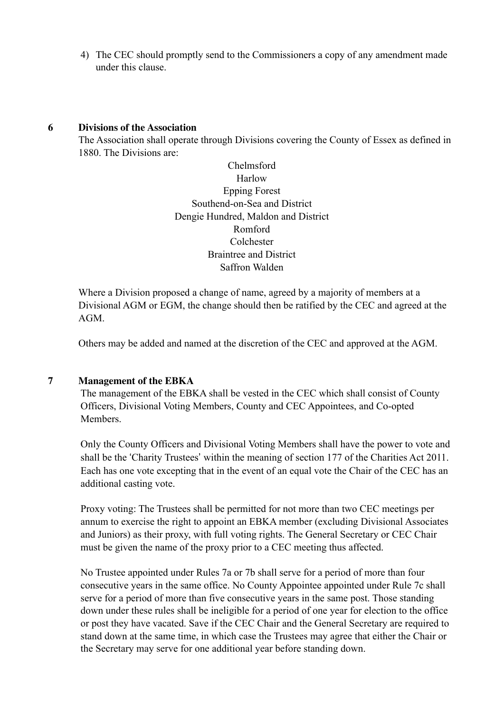4) The CEC should promptly send to the Commissioners a copy of any amendment made under this clause.

#### **6 Divisions of the Association**

The Association shall operate through Divisions covering the County of Essex as defined in 1880. The Divisions are:

> Chelmsford **Harlow** Epping Forest Southend-on-Sea and District Dengie Hundred, Maldon and District Romford Colchester Braintree and District Saffron Walden

Where a Division proposed a change of name, agreed by a majority of members at a Divisional AGM or EGM, the change should then be ratified by the CEC and agreed at the AGM.

Others may be added and named at the discretion of the CEC and approved at the AGM.

# **7 Management of the EBKA**

 The management of the EBKA shall be vested in the CEC which shall consist of County Officers, Divisional Voting Members, County and CEC Appointees, and Co-opted **Members** 

 Only the County Officers and Divisional Voting Members shall have the power to vote and shall be the 'Charity Trustees' within the meaning of section 177 of the Charities Act 2011. Each has one vote excepting that in the event of an equal vote the Chair of the CEC has an additional casting vote.

 Proxy voting: The Trustees shall be permitted for not more than two CEC meetings per annum to exercise the right to appoint an EBKA member (excluding Divisional Associates and Juniors) as their proxy, with full voting rights. The General Secretary or CEC Chair must be given the name of the proxy prior to a CEC meeting thus affected.

 No Trustee appointed under Rules 7a or 7b shall serve for a period of more than four consecutive years in the same office. No County Appointee appointed under Rule 7c shall serve for a period of more than five consecutive years in the same post. Those standing down under these rules shall be ineligible for a period of one year for election to the office or post they have vacated. Save if the CEC Chair and the General Secretary are required to stand down at the same time, in which case the Trustees may agree that either the Chair or the Secretary may serve for one additional year before standing down.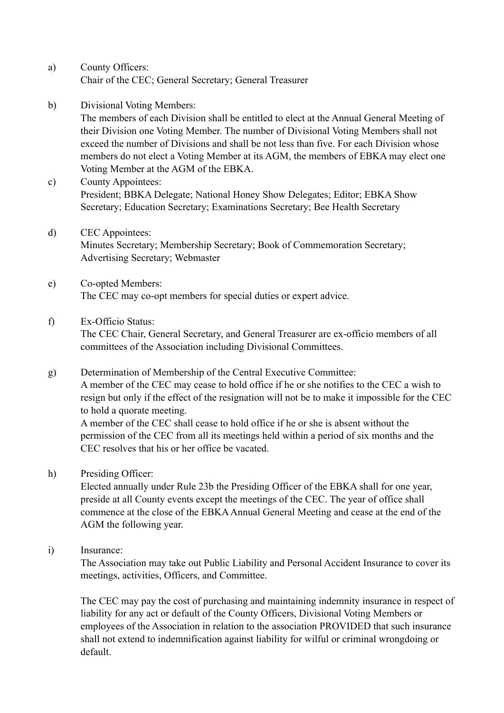- a) County Officers: Chair of the CEC; General Secretary; General Treasurer
- b) Divisional Voting Members:

 The members of each Division shall be entitled to elect at the Annual General Meeting of their Division one Voting Member. The number of Divisional Voting Members shall not exceed the number of Divisions and shall be not less than five. For each Division whose members do not elect a Voting Member at its AGM, the members of EBKA may elect one Voting Member at the AGM of the EBKA.

- c) County Appointees: President; BBKA Delegate; National Honey Show Delegates; Editor; EBKA Show Secretary; Education Secretary; Examinations Secretary; Bee Health Secretary
- d) CEC Appointees: Minutes Secretary; Membership Secretary; Book of Commemoration Secretary; Advertising Secretary; Webmaster
- e) Co-opted Members: The CEC may co-opt members for special duties or expert advice.

CEC resolves that his or her office be vacated.

f) Ex-Officio Status:

 The CEC Chair, General Secretary, and General Treasurer are ex-officio members of all committees of the Association including Divisional Committees.

- g) Determination of Membership of the Central Executive Committee: A member of the CEC may cease to hold office if he or she notifies to the CEC a wish to resign but only if the effect of the resignation will not be to make it impossible for the CEC to hold a quorate meeting. A member of the CEC shall cease to hold office if he or she is absent without the permission of the CEC from all its meetings held within a period of six months and the
- h) Presiding Officer:

 Elected annually under Rule 23b the Presiding Officer of the EBKA shall for one year, preside at all County events except the meetings of the CEC. The year of office shall commence at the close of the EBKA Annual General Meeting and cease at the end of the AGM the following year.

i) Insurance:

 The Association may take out Public Liability and Personal Accident Insurance to cover its meetings, activities, Officers, and Committee.

 The CEC may pay the cost of purchasing and maintaining indemnity insurance in respect of liability for any act or default of the County Officers, Divisional Voting Members or employees of the Association in relation to the association PROVIDED that such insurance shall not extend to indemnification against liability for wilful or criminal wrongdoing or default.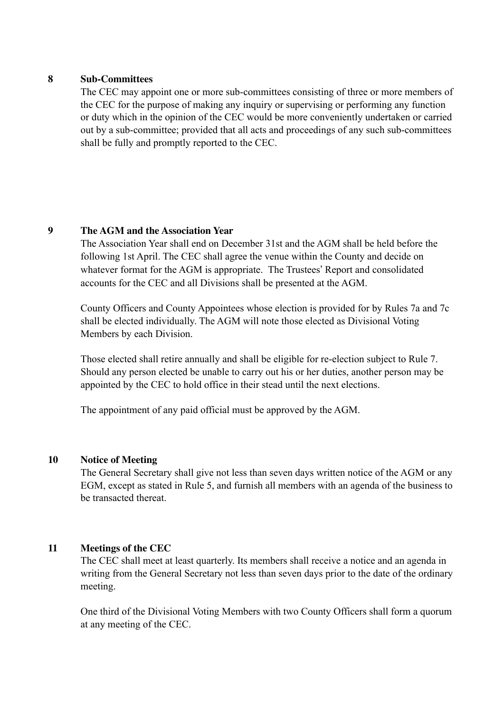# **8 Sub-Committees**

 The CEC may appoint one or more sub-committees consisting of three or more members of the CEC for the purpose of making any inquiry or supervising or performing any function or duty which in the opinion of the CEC would be more conveniently undertaken or carried out by a sub-committee; provided that all acts and proceedings of any such sub-committees shall be fully and promptly reported to the CEC.

# **9 The AGM and the Association Year**

 The Association Year shall end on December 31st and the AGM shall be held before the following 1st April. The CEC shall agree the venue within the County and decide on whatever format for the AGM is appropriate. The Trustees' Report and consolidated accounts for the CEC and all Divisions shall be presented at the AGM.

 County Officers and County Appointees whose election is provided for by Rules 7a and 7c shall be elected individually. The AGM will note those elected as Divisional Voting Members by each Division.

 Those elected shall retire annually and shall be eligible for re-election subject to Rule 7. Should any person elected be unable to carry out his or her duties, another person may be appointed by the CEC to hold office in their stead until the next elections.

The appointment of any paid official must be approved by the AGM.

# **10 Notice of Meeting**

 The General Secretary shall give not less than seven days written notice of the AGM or any EGM, except as stated in Rule 5, and furnish all members with an agenda of the business to be transacted thereat.

# **11 Meetings of the CEC**

 The CEC shall meet at least quarterly. Its members shall receive a notice and an agenda in writing from the General Secretary not less than seven days prior to the date of the ordinary meeting.

 One third of the Divisional Voting Members with two County Officers shall form a quorum at any meeting of the CEC.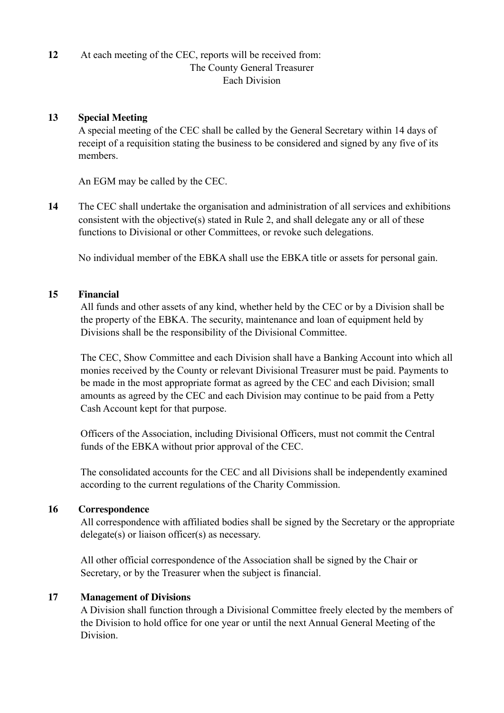# **12** At each meeting of the CEC, reports will be received from: The County General Treasurer Each Division

#### **13 Special Meeting**

A special meeting of the CEC shall be called by the General Secretary within 14 days of receipt of a requisition stating the business to be considered and signed by any five of its members.

An EGM may be called by the CEC.

**14** The CEC shall undertake the organisation and administration of all services and exhibitions consistent with the objective(s) stated in Rule 2, and shall delegate any or all of these functions to Divisional or other Committees, or revoke such delegations.

No individual member of the EBKA shall use the EBKA title or assets for personal gain.

# **15 Financial**

 All funds and other assets of any kind, whether held by the CEC or by a Division shall be the property of the EBKA. The security, maintenance and loan of equipment held by Divisions shall be the responsibility of the Divisional Committee.

 The CEC, Show Committee and each Division shall have a Banking Account into which all monies received by the County or relevant Divisional Treasurer must be paid. Payments to be made in the most appropriate format as agreed by the CEC and each Division; small amounts as agreed by the CEC and each Division may continue to be paid from a Petty Cash Account kept for that purpose.

 Officers of the Association, including Divisional Officers, must not commit the Central funds of the EBKA without prior approval of the CEC.

 The consolidated accounts for the CEC and all Divisions shall be independently examined according to the current regulations of the Charity Commission.

#### **16 Correspondence**

 All correspondence with affiliated bodies shall be signed by the Secretary or the appropriate delegate(s) or liaison officer(s) as necessary.

 All other official correspondence of the Association shall be signed by the Chair or Secretary, or by the Treasurer when the subject is financial.

# **17 Management of Divisions**

 A Division shall function through a Divisional Committee freely elected by the members of the Division to hold office for one year or until the next Annual General Meeting of the Division.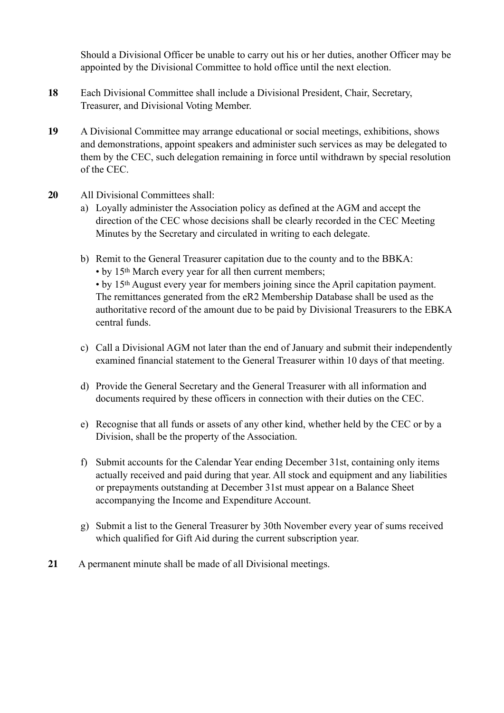Should a Divisional Officer be unable to carry out his or her duties, another Officer may be appointed by the Divisional Committee to hold office until the next election.

- **18** Each Divisional Committee shall include a Divisional President, Chair, Secretary, Treasurer, and Divisional Voting Member.
- **19** A Divisional Committee may arrange educational or social meetings, exhibitions, shows and demonstrations, appoint speakers and administer such services as may be delegated to them by the CEC, such delegation remaining in force until withdrawn by special resolution of the CEC.
- **20** All Divisional Committees shall:
	- a) Loyally administer the Association policy as defined at the AGM and accept the direction of the CEC whose decisions shall be clearly recorded in the CEC Meeting Minutes by the Secretary and circulated in writing to each delegate.
	- b) Remit to the General Treasurer capitation due to the county and to the BBKA: • by 15th March every year for all then current members; • by 15th August every year for members joining since the April capitation payment. The remittances generated from the eR2 Membership Database shall be used as the authoritative record of the amount due to be paid by Divisional Treasurers to the EBKA central funds.
	- c) Call a Divisional AGM not later than the end of January and submit their independently examined financial statement to the General Treasurer within 10 days of that meeting.
	- d) Provide the General Secretary and the General Treasurer with all information and documents required by these officers in connection with their duties on the CEC.
	- e) Recognise that all funds or assets of any other kind, whether held by the CEC or by a Division, shall be the property of the Association.
	- f) Submit accounts for the Calendar Year ending December 31st, containing only items actually received and paid during that year. All stock and equipment and any liabilities or prepayments outstanding at December 31st must appear on a Balance Sheet accompanying the Income and Expenditure Account.
	- g) Submit a list to the General Treasurer by 30th November every year of sums received which qualified for Gift Aid during the current subscription year.
- **21** A permanent minute shall be made of all Divisional meetings.